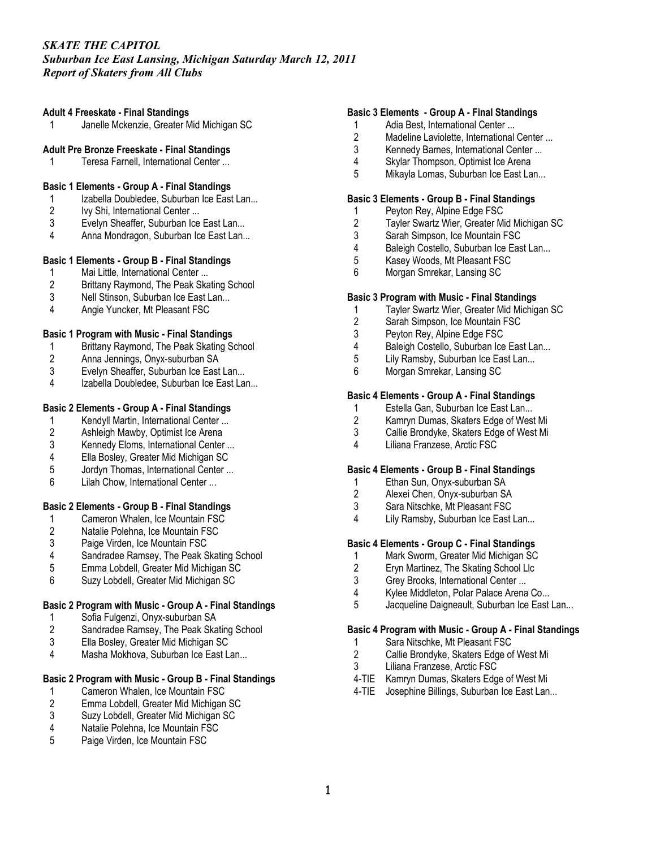#### *Suburban Ice East Lansing, Michigan Saturday March 12, 2011 Report of Skaters from All Clubs*

#### **Adult 4 Freeskate - Final Standings**

1 Janelle Mckenzie, Greater Mid Michigan SC

#### **Adult Pre Bronze Freeskate - Final Standings**

1 Teresa Farnell, International Center ...

#### **Basic 1 Elements - Group A - Final Standings**

- 1 Izabella Doubledee, Suburban Ice East Lan...
- 2 Ivy Shi, International Center ...
- 3 Evelyn Sheaffer, Suburban Ice East Lan...<br>4 Anna Mondragon, Suburban Ice East Lan...
- Anna Mondragon, Suburban Ice East Lan...

## **Basic 1 Elements - Group B - Final Standings**

- 1 Mai Little, International Center ...<br>2 Brittany Raymond. The Peak Ska
- 2 Brittany Raymond, The Peak Skating School
- 3 Nell Stinson, Suburban Ice East Lan...
- 4 Angie Yuncker, Mt Pleasant FSC

#### **Basic 1 Program with Music - Final Standings**

- 1 Brittany Raymond, The Peak Skating School
- 2 Anna Jennings, Onyx-suburban SA
- 3 Evelyn Sheaffer, Suburban Ice East Lan...
- Izabella Doubledee, Suburban Ice East Lan...

#### **Basic 2 Elements - Group A - Final Standings**

- 1 Kendyll Martin, International Center ...<br>2 Ashleigh Mawby, Optimist Ice Arena
- Ashleigh Mawby, Optimist Ice Arena
- 3 Kennedy Eloms, International Center ...<br>4 Ella Boslev. Greater Mid Michigan SC
- 4 Ella Bosley, Greater Mid Michigan SC<br>5 Jordyn Thomas. International Center ...
- Jordyn Thomas, International Center ...
- 6 Lilah Chow, International Center ...

## **Basic 2 Elements - Group B - Final Standings**

- 1 Cameron Whalen, Ice Mountain FSC<br>2 Natalie Polehna, Ice Mountain FSC
- 2 Natalie Polehna, Ice Mountain FSC<br>3 Paige Virden. Ice Mountain FSC
- Paige Virden, Ice Mountain FSC
- 4 Sandradee Ramsey, The Peak Skating School<br>5 Emma Lobdell. Greater Mid Michigan SC
- 5 Emma Lobdell, Greater Mid Michigan SC
- 6 Suzy Lobdell, Greater Mid Michigan SC

## **Basic 2 Program with Music - Group A - Final Standings**

- 1 Sofia Fulgenzi, Onyx-suburban SA
- 2 Sandradee Ramsey, The Peak Skating School<br>3 Ella Boslev. Greater Mid Michigan SC
- 3 Ella Bosley, Greater Mid Michigan SC<br>4 Masha Mokhova Suburban Ice Fast L
- Masha Mokhova, Suburban Ice East Lan...

## **Basic 2 Program with Music - Group B - Final Standings**

- 1 Cameron Whalen, Ice Mountain FSC
- 2 Emma Lobdell, Greater Mid Michigan SC
- 3 Suzy Lobdell, Greater Mid Michigan SC
- 4 Natalie Polehna, Ice Mountain FSC
- 5 Paige Virden, Ice Mountain FSC

#### **Basic 3 Elements - Group A - Final Standings**

- 1 Adia Best, International Center ...
- 2 Madeline Laviolette, International Center ...
- 3 Kennedy Barnes, International Center ...
- 4 Skylar Thompson, Optimist Ice Arena<br>5 Mikavla Lomas. Suburban Ice East La
- Mikayla Lomas, Suburban Ice East Lan...

#### **Basic 3 Elements - Group B - Final Standings**

- 1 Peyton Rey, Alpine Edge FSC
- 2 Tayler Swartz Wier, Greater Mid Michigan SC
- 3 Sarah Simpson, Ice Mountain FSC<br>4 Baleigh Costello, Suburban Ice Eas
- Baleigh Costello, Suburban Ice East Lan...
- 5 Kasey Woods, Mt Pleasant FSC<br>6 Morgan Smrekar, Lansing SC
- Morgan Smrekar, Lansing SC

#### **Basic 3 Program with Music - Final Standings**

- 1 Tayler Swartz Wier, Greater Mid Michigan SC
- Sarah Simpson, Ice Mountain FSC
- 3 Peyton Rey, Alpine Edge FSC
- 4 Baleigh Costello, Suburban Ice East Lan...<br>5 Lily Ramsby. Suburban Ice East Lan...
- Lily Ramsby, Suburban Ice East Lan...
- 6 Morgan Smrekar, Lansing SC

## **Basic 4 Elements - Group A - Final Standings**

- 1 Estella Gan, Suburban Ice East Lan...<br>2 Kamrvn Dumas. Skaters Edge of West
- 2 Kamryn Dumas, Skaters Edge of West Mi
- 3 Callie Brondyke, Skaters Edge of West Mi
- 4 Liliana Franzese, Arctic FSC

#### **Basic 4 Elements - Group B - Final Standings**

- 1 Ethan Sun, Onyx-suburban SA<br>2 Alexei Chen, Onvx-suburban SA
- 2 Alexei Chen, Onyx-suburban SA
- 3 Sara Nitschke, Mt Pleasant FSC
- 4 Lily Ramsby, Suburban Ice East Lan...

## **Basic 4 Elements - Group C - Final Standings**

- 1 Mark Sworm, Greater Mid Michigan SC
- 2 Eryn Martinez, The Skating School Llc
- 3 Grey Brooks, International Center ...
- 4 Kylee Middleton, Polar Palace Arena Co...
- 5 Jacqueline Daigneault, Suburban Ice East Lan...

#### **Basic 4 Program with Music - Group A - Final Standings**

- 1 Sara Nitschke, Mt Pleasant FSC
- 2 Callie Brondyke, Skaters Edge of West Mi
- 3 Liliana Franzese, Arctic FSC
- 4-TIE Kamryn Dumas, Skaters Edge of West Mi
- 4-TIE Josephine Billings, Suburban Ice East Lan...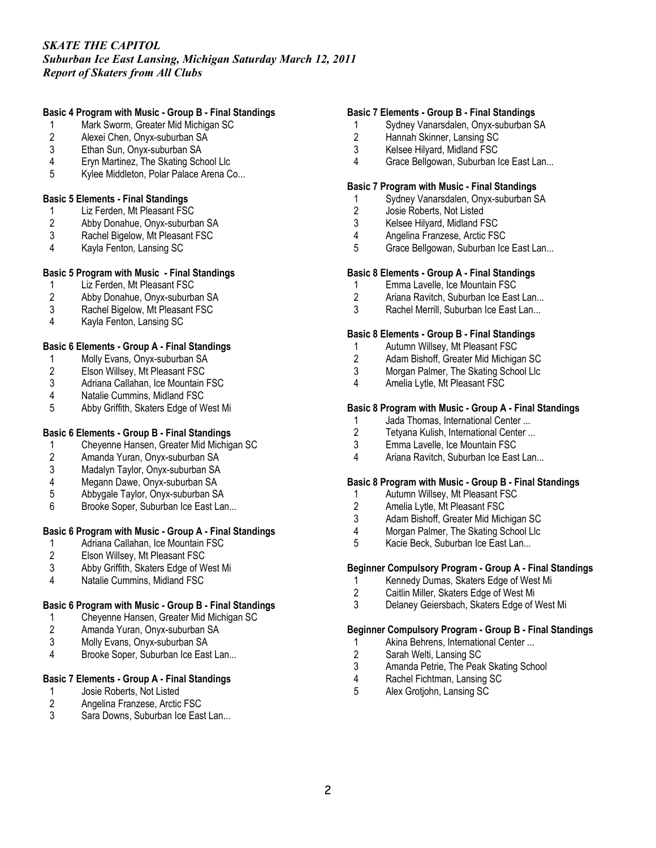*Suburban Ice East Lansing, Michigan Saturday March 12, 2011 Report of Skaters from All Clubs*

## **Basic 4 Program with Music - Group B - Final Standings**

- 1 Mark Sworm, Greater Mid Michigan SC
- 2 Alexei Chen, Onyx-suburban SA<br>3 Ethan Sun. Onvx-suburban SA
- Ethan Sun, Onyx-suburban SA
- 4 Eryn Martinez, The Skating School Llc
- 5 Kylee Middleton, Polar Palace Arena Co...

#### **Basic 5 Elements - Final Standings**

- 1 Liz Ferden, Mt Pleasant FSC
- 2 Abby Donahue, Onyx-suburban SA<br>3 Rachel Bigelow, Mt Pleasant FSC
- 3 Rachel Bigelow, Mt Pleasant FSC<br>4 Kavla Fenton, Lansing SC
- Kayla Fenton, Lansing SC

## **Basic 5 Program with Music - Final Standings**

- 1 Liz Ferden, Mt Pleasant FSC
- 2 Abby Donahue, Onyx-suburban SA<br>3 Rachel Bigelow. Mt Pleasant FSC
- Rachel Bigelow, Mt Pleasant FSC
- 4 Kayla Fenton, Lansing SC

## **Basic 6 Elements - Group A - Final Standings**

- 1 Molly Evans, Onyx-suburban SA<br>2 Elson Willsey, Mt Pleasant FSC
- 2 Elson Willsey, Mt Pleasant FSC<br>3 Adriana Callahan, Ice Mountain I
- Adriana Callahan, Ice Mountain FSC
- 4 Natalie Cummins, Midland FSC
- 5 Abby Griffith, Skaters Edge of West Mi

## **Basic 6 Elements - Group B - Final Standings**

- 1 Cheyenne Hansen, Greater Mid Michigan SC<br>2 Amanda Yuran, Onyx-suburban SA
- 
- 2 Amanda Yuran, Onyx-suburban SA Madalyn Taylor, Onyx-suburban SA
- 
- 4 Megann Dawe, Onyx-suburban SA<br>5 Abbygale Taylor, Onyx-suburban SA 5 Abbygale Taylor, Onyx-suburban SA
- 6 Brooke Soper, Suburban Ice East Lan...

## **Basic 6 Program with Music - Group A - Final Standings**

- 1 Adriana Callahan, Ice Mountain FSC
- 2 Elson Willsey, Mt Pleasant FSC<br>3 Abby Griffith. Skaters Edge of W
- 3 Abby Griffith, Skaters Edge of West Mi
- 4 Natalie Cummins, Midland FSC

## **Basic 6 Program with Music - Group B - Final Standings**

- 1 Cheyenne Hansen, Greater Mid Michigan SC
- 2 Amanda Yuran, Onyx-suburban SA<br>3 Molly Evans. Onvx-suburban SA
- 3 Molly Evans, Onyx-suburban SA<br>4 Brooke Soper Suburban Ice Fas
- Brooke Soper, Suburban Ice East Lan...

## **Basic 7 Elements - Group A - Final Standings**

- 1 Josie Roberts, Not Listed
- 2 Angelina Franzese, Arctic FSC
- 3 Sara Downs, Suburban Ice East Lan...

#### **Basic 7 Elements - Group B - Final Standings**

- 1 Sydney Vanarsdalen, Onyx-suburban SA
- Hannah Skinner, Lansing SC
- 3 Kelsee Hilyard, Midland FSC
- 4 Grace Bellgowan, Suburban Ice East Lan...

#### **Basic 7 Program with Music - Final Standings**

- 1 Sydney Vanarsdalen, Onyx-suburban SA
- 2 Josie Roberts, Not Listed
- 3 Kelsee Hilyard, Midland FSC<br>4 Angelina Franzese, Arctic FS
- 4 Angelina Franzese, Arctic FSC<br>5 Grace Bellgowan, Suburban Ice
- Grace Bellgowan, Suburban Ice East Lan...

#### **Basic 8 Elements - Group A - Final Standings**

- 1 Emma Lavelle, Ice Mountain FSC
- 2 Ariana Ravitch, Suburban Ice East Lan...
- 3 Rachel Merrill, Suburban Ice East Lan...

#### **Basic 8 Elements - Group B - Final Standings**

- 1 Autumn Willsey, Mt Pleasant FSC
- 2 Adam Bishoff, Greater Mid Michigan SC
- 3 Morgan Palmer, The Skating School Llc<br>4 Amelia Lytle. Mt Pleasant FSC
- Amelia Lytle, Mt Pleasant FSC

#### **Basic 8 Program with Music - Group A - Final Standings**

- 1 Jada Thomas, International Center ...<br>2 Tetvana Kulish. International Center ...
- Tetyana Kulish, International Center ...
- 3 Emma Lavelle, Ice Mountain FSC
- 4 Ariana Ravitch, Suburban Ice East Lan...

#### **Basic 8 Program with Music - Group B - Final Standings**

- 1 Autumn Willsey, Mt Pleasant FSC<br>2 Amelia Lytle. Mt Pleasant FSC
- Amelia Lytle, Mt Pleasant FSC
- 3 Adam Bishoff, Greater Mid Michigan SC
- 4 Morgan Palmer, The Skating School Llc
- 5 Kacie Beck, Suburban Ice East Lan...

## **Beginner Compulsory Program - Group A - Final Standings**

- 1 Kennedy Dumas, Skaters Edge of West Mi
- 2 Caitlin Miller, Skaters Edge of West Mi
- 3 Delaney Geiersbach, Skaters Edge of West Mi

## **Beginner Compulsory Program - Group B - Final Standings**

- 1 Akina Behrens, International Center ...
- 2 Sarah Welti, Lansing SC
- 3 Amanda Petrie, The Peak Skating School<br>4 Rachel Fichtman, Lansing SC
- 4 Rachel Fichtman, Lansing SC<br>5 Alex Grotiohn, Lansing SC
- 5 Alex Grotjohn, Lansing SC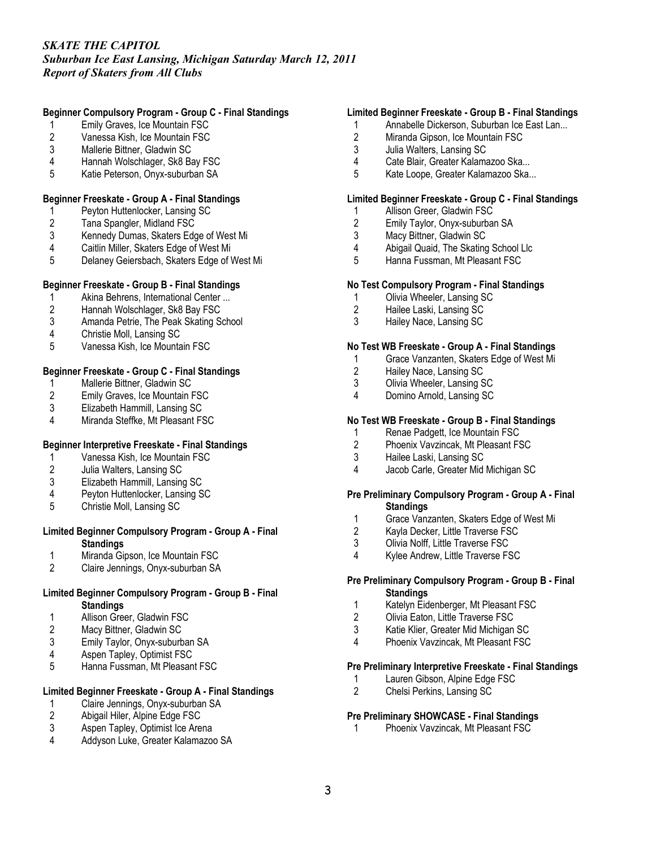*Suburban Ice East Lansing, Michigan Saturday March 12, 2011 Report of Skaters from All Clubs*

## **Beginner Compulsory Program - Group C - Final Standings**

- 1 Emily Graves, Ice Mountain FSC<br>2 Vanessa Kish, Ice Mountain FSC
- 2 Vanessa Kish, Ice Mountain FSC
- 3 Mallerie Bittner, Gladwin SC
- 4 Hannah Wolschlager, Sk8 Bay FSC
- 5 Katie Peterson, Onyx-suburban SA

## **Beginner Freeskate - Group A - Final Standings**

- 1 Peyton Huttenlocker, Lansing SC
- 2 Tana Spangler, Midland FSC<br>3 Kennedy Dumas, Skaters Edg
- 3 Kennedy Dumas, Skaters Edge of West Mi
- 4 Caitlin Miller, Skaters Edge of West Mi
- 5 Delaney Geiersbach, Skaters Edge of West Mi

## **Beginner Freeskate - Group B - Final Standings**

- 1 Akina Behrens, International Center ...<br>2 Hannah Wolschlager, Sk8 Bay FSC
- 2 Hannah Wolschlager, Sk8 Bay FSC
- 3 Amanda Petrie, The Peak Skating School
- 4 Christie Moll, Lansing SC
- 5 Vanessa Kish, Ice Mountain FSC

## **Beginner Freeskate - Group C - Final Standings**

- 1 Mallerie Bittner, Gladwin SC<br>2 Emily Graves, Ice Mountain I
- 2 Emily Graves, Ice Mountain FSC
- 3 Elizabeth Hammill, Lansing SC<br>4 Miranda Steffke, Mt Pleasant FS
- Miranda Steffke, Mt Pleasant FSC

## **Beginner Interpretive Freeskate - Final Standings**

- 1 Vanessa Kish, Ice Mountain FSC<br>2 Julia Walters, Lansing SC
- 2 Julia Walters, Lansing SC
- 3 Elizabeth Hammill, Lansing SC
- 4 Peyton Huttenlocker, Lansing SC<br>5 Christie Moll. Lansing SC
- 5 Christie Moll, Lansing SC

#### **Limited Beginner Compulsory Program - Group A - Final Standings**

- 1 Miranda Gipson, Ice Mountain FSC<br>2 Claire Jennings, Onyx-suburban SA
- 2 Claire Jennings, Onyx-suburban SA

## **Limited Beginner Compulsory Program - Group B - Final Standings**

- 1 Allison Greer, Gladwin FSC
- 2 Macy Bittner, Gladwin SC<br>3 Emily Taylor, Onyx-suburb
- 3 Emily Taylor, Onyx-suburban SA<br>4 Aspen Tapley. Optimist FSC
- Aspen Tapley, Optimist FSC
- 5 Hanna Fussman, Mt Pleasant FSC

# **Limited Beginner Freeskate - Group A - Final Standings**

- 1 Claire Jennings, Onyx-suburban SA<br>2 Abigail Hiler, Alpine Edge FSC
- 2 Abigail Hiler, Alpine Edge FSC<br>3 Aspen Tapley, Optimist Ice Are
- Aspen Tapley, Optimist Ice Arena
- 4 Addyson Luke, Greater Kalamazoo SA

#### **Limited Beginner Freeskate - Group B - Final Standings**

- 1 Annabelle Dickerson, Suburban Ice East Lan...
- 2 Miranda Gipson, Ice Mountain FSC
- 3 Julia Walters, Lansing SC
- 4 Cate Blair, Greater Kalamazoo Ska...<br>5 Kate Loope. Greater Kalamazoo Ska..
- Kate Loope, Greater Kalamazoo Ska...

## **Limited Beginner Freeskate - Group C - Final Standings**

- 1 Allison Greer, Gladwin FSC
- 2 Emily Taylor, Onyx-suburban SA<br>3 Macy Bittner. Gladwin SC
- 3 Macy Bittner, Gladwin SC<br>4 Abigail Quaid. The Skating
- 4 Abigail Quaid, The Skating School Llc
- 5 Hanna Fussman, Mt Pleasant FSC

## **No Test Compulsory Program - Final Standings**

- 1 Olivia Wheeler, Lansing SC
- 2 Hailee Laski, Lansing SC<br>3 Hailey Nace, Lansing SC
- 3 Hailey Nace, Lansing SC

#### **No Test WB Freeskate - Group A - Final Standings**

- 1 Grace Vanzanten, Skaters Edge of West Mi
- 2 Hailey Nace, Lansing SC<br>3 Olivia Wheeler. Lansing S
- 3 Olivia Wheeler, Lansing SC
- 4 Domino Arnold, Lansing SC

## **No Test WB Freeskate - Group B - Final Standings**

- 1 Renae Padgett, Ice Mountain FSC
- 2 Phoenix Vavzincak, Mt Pleasant FSC
- 3 Hailee Laski, Lansing SC
- 4 Jacob Carle, Greater Mid Michigan SC

## **Pre Preliminary Compulsory Program - Group A - Final Standings**

- 1 Grace Vanzanten, Skaters Edge of West Mi<br>2 Kavla Decker. Little Traverse FSC
- 2 Kayla Decker, Little Traverse FSC<br>3 Olivia Nolff. Little Traverse FSC
- Olivia Nolff, Little Traverse FSC
- 4 Kylee Andrew, Little Traverse FSC

#### **Pre Preliminary Compulsory Program - Group B - Final Standings**

- 1 Katelyn Eidenberger, Mt Pleasant FSC
- 2 Olivia Eaton, Little Traverse FSC
- 3 Katie Klier, Greater Mid Michigan SC
- 4 Phoenix Vavzincak, Mt Pleasant FSC

#### **Pre Preliminary Interpretive Freeskate - Final Standings**

- 1 Lauren Gibson, Alpine Edge FSC<br>2 Chelsi Perkins. Lansing SC
- 2 Chelsi Perkins, Lansing SC

## **Pre Preliminary SHOWCASE - Final Standings**

1 Phoenix Vavzincak, Mt Pleasant FSC